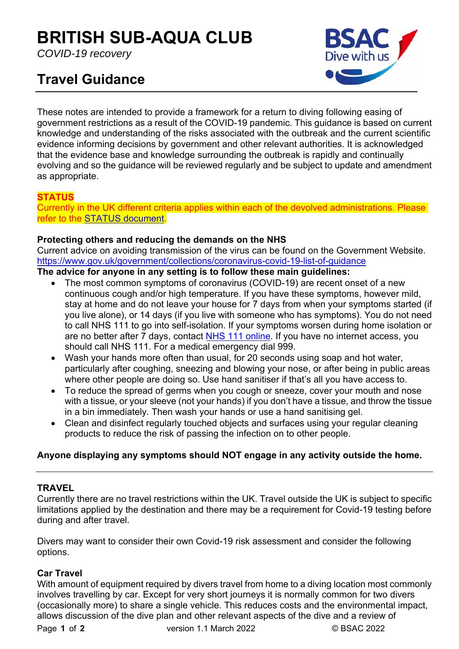# **BRITISH SUB-AQUA CLUB**

*COVID-19 recovery* 

# **Travel Guidance**



These notes are intended to provide a framework for a return to diving following easing of government restrictions as a result of the COVID-19 pandemic. This guidance is based on current knowledge and understanding of the risks associated with the outbreak and the current scientific evidence informing decisions by government and other relevant authorities. It is acknowledged that the evidence base and knowledge surrounding the outbreak is rapidly and continually evolving and so the guidance will be reviewed regularly and be subject to update and amendment as appropriate.

# **STATUS**

Currently in the UK different criteria applies within each of the devolved administrations. Please refer to the STATUS document.

#### **Protecting others and reducing the demands on the NHS**

Current advice on avoiding transmission of the virus can be found on the Government Website. https://www.gov.uk/government/collections/coronavirus-covid-19-list-of-guidance

#### **The advice for anyone in any setting is to follow these main guidelines:**

- The most common symptoms of coronavirus (COVID-19) are recent onset of a new continuous cough and/or high temperature. If you have these symptoms, however mild, stay at home and do not leave your house for 7 days from when your symptoms started (if you live alone), or 14 days (if you live with someone who has symptoms). You do not need to call NHS 111 to go into self-isolation. If your symptoms worsen during home isolation or are no better after 7 days, contact NHS 111 online. If you have no internet access, you should call NHS 111. For a medical emergency dial 999.
- Wash your hands more often than usual, for 20 seconds using soap and hot water, particularly after coughing, sneezing and blowing your nose, or after being in public areas where other people are doing so. Use hand sanitiser if that's all you have access to.
- To reduce the spread of germs when you cough or sneeze, cover your mouth and nose with a tissue, or your sleeve (not your hands) if you don't have a tissue, and throw the tissue in a bin immediately. Then wash your hands or use a hand sanitising gel.
- Clean and disinfect regularly touched objects and surfaces using your regular cleaning products to reduce the risk of passing the infection on to other people.

# **Anyone displaying any symptoms should NOT engage in any activity outside the home.**

# **TRAVEL**

Currently there are no travel restrictions within the UK. Travel outside the UK is subject to specific limitations applied by the destination and there may be a requirement for Covid-19 testing before during and after travel.

Divers may want to consider their own Covid-19 risk assessment and consider the following options.

# **Car Travel**

With amount of equipment required by divers travel from home to a diving location most commonly involves travelling by car. Except for very short journeys it is normally common for two divers (occasionally more) to share a single vehicle. This reduces costs and the environmental impact, allows discussion of the dive plan and other relevant aspects of the dive and a review of

Page **1** of **2** version 1.1 March 2022 © BSAC 2022